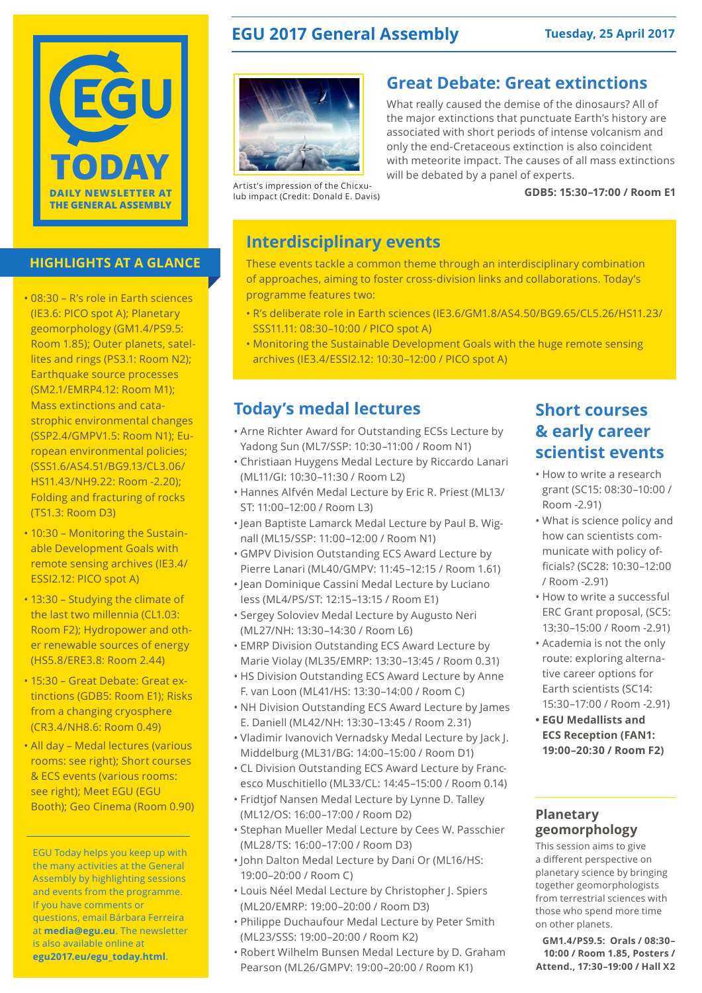

### **HIGHLIGHTS AT A GLANCE**

- 08:30 R's role in Earth sciences (IE3.6: PICO spot A); Planetary geomorphology (GM1.4/PS9.5: Room 1.85); Outer planets, satellites and rings (PS3.1: Room N2); Earthquake source processes (SM2.1/EMRP4.12: Room M1); Mass extinctions and catastrophic environmental changes (SSP2.4/GMPV1.5: Room N1); European environmental policies; (SSS1.6/AS4.51/BG9.13/CL3.06/ HS11.43/NH9.22: Room -2.20); Folding and fracturing of rocks (TS1.3: Room D3)
- 10:30 Monitoring the Sustainable Development Goals with remote sensing archives (IE3.4/ ESSI2.12: PICO spot A)
- 13:30 Studying the climate of the last two millennia (CL1.03: Room F2); Hydropower and other renewable sources of energy (HS5.8/ERE3.8: Room 2.44)
- 15:30 Great Debate: Great extinctions (GDB5: Room E1); Risks from a changing cryosphere (CR3.4/NH8.6: Room 0.49)
- All day Medal lectures (various rooms: see right); Short courses & ECS events (various rooms: see right); Meet EGU (EGU Booth); Geo Cinema (Room 0.90)

EGU Today helps you keep up with the many activities at the General Assembly by highlighting sessions and events from the programme. If you have comments or questions, email Bárbara Ferreira at **media@egu.eu**. The newsletter is also available online at **egu2017.eu/egu\_today.html**.

# **EGU 2017 General Assembly Tuesday, 25 April 2017**

### **Great Debate: Great extinctions**



What really caused the demise of the dinosaurs? All of the major extinctions that punctuate Earth's history are associated with short periods of intense volcanism and only the end-Cretaceous extinction is also coincident with meteorite impact. The causes of all mass extinctions will be debated by a panel of experts.

Artist's impression of the Chicxulub impact (Credit: Donald E. Davis)

#### **GDB5: 15:30–17:00 / Room E1**

# **Interdisciplinary events**

These events tackle a common theme through an interdisciplinary combination of approaches, aiming to foster cross-division links and collaborations. Today's programme features two:

- R's deliberate role in Earth sciences (IE3.6/GM1.8/AS4.50/BG9.65/CL5.26/HS11.23/ SSS11.11: 08:30–10:00 / PICO spot A)
- Monitoring the Sustainable Development Goals with the huge remote sensing archives (IE3.4/ESSI2.12: 10:30–12:00 / PICO spot A)

## **Today's medal lectures**

- Arne Richter Award for Outstanding ECSs Lecture by Yadong Sun (ML7/SSP: 10:30–11:00 / Room N1)
- Christiaan Huygens Medal Lecture by Riccardo Lanari (ML11/GI: 10:30–11:30 / Room L2)
- Hannes Alfvén Medal Lecture by Eric R. Priest (ML13/ ST: 11:00–12:00 / Room L3)
- Jean Baptiste Lamarck Medal Lecture by Paul B. Wignall (ML15/SSP: 11:00–12:00 / Room N1)
- GMPV Division Outstanding ECS Award Lecture by Pierre Lanari (ML40/GMPV: 11:45–12:15 / Room 1.61)
- Jean Dominique Cassini Medal Lecture by Luciano Iess (ML4/PS/ST: 12:15–13:15 / Room E1)
- Sergey Soloviev Medal Lecture by Augusto Neri (ML27/NH: 13:30–14:30 / Room L6)
- EMRP Division Outstanding ECS Award Lecture by Marie Violay (ML35/EMRP: 13:30–13:45 / Room 0.31)
- HS Division Outstanding ECS Award Lecture by Anne F. van Loon (ML41/HS: 13:30–14:00 / Room C)
- NH Division Outstanding ECS Award Lecture by James E. Daniell (ML42/NH: 13:30–13:45 / Room 2.31)
- Vladimir Ivanovich Vernadsky Medal Lecture by Jack J. Middelburg (ML31/BG: 14:00–15:00 / Room D1)
- CL Division Outstanding ECS Award Lecture by Francesco Muschitiello (ML33/CL: 14:45–15:00 / Room 0.14)
- Fridtjof Nansen Medal Lecture by Lynne D. Talley (ML12/OS: 16:00–17:00 / Room D2)
- Stephan Mueller Medal Lecture by Cees W. Passchier (ML28/TS: 16:00–17:00 / Room D3)
- John Dalton Medal Lecture by Dani Or (ML16/HS: 19:00–20:00 / Room C)
- Louis Néel Medal Lecture by Christopher J. Spiers (ML20/EMRP: 19:00–20:00 / Room D3)
- Philippe Duchaufour Medal Lecture by Peter Smith (ML23/SSS: 19:00–20:00 / Room K2)
- Robert Wilhelm Bunsen Medal Lecture by D. Graham Pearson (ML26/GMPV: 19:00–20:00 / Room K1)

# **Short courses & early career scientist events**

- How to write a research grant (SC15: 08:30–10:00 / Room -2.91)
- What is science policy and how can scientists communicate with policy officials? (SC28: 10:30–12:00 / Room -2.91)
- How to write a successful ERC Grant proposal, (SC5: 13:30–15:00 / Room -2.91)
- Academia is not the only route: exploring alternative career options for Earth scientists (SC14: 15:30–17:00 / Room -2.91)
- **• EGU Medallists and ECS Reception (FAN1: 19:00–20:30 / Room F2)**

### **Planetary geomorphology**

This session aims to give a different perspective on planetary science by bringing together geomorphologists from terrestrial sciences with those who spend more time on other planets.

**GM1.4/PS9.5: Orals / 08:30– 10:00 / Room 1.85, Posters / Attend., 17:30–19:00 / Hall X2**